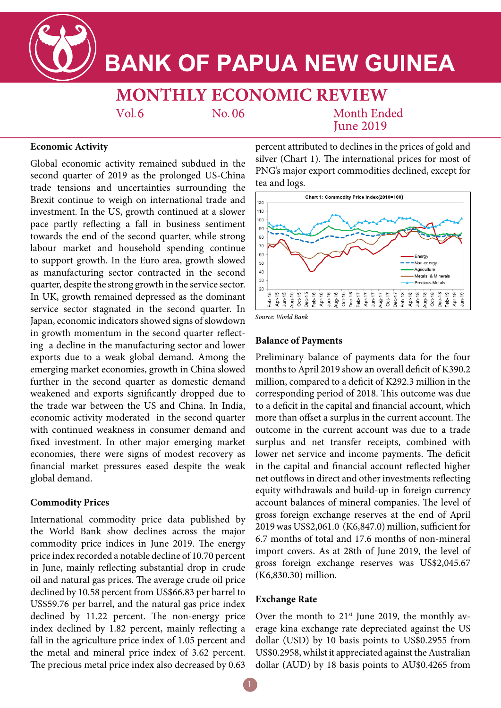

# **BANK OF PAPUA NEW GUINEA**

**MONTHLY ECONOMIC REVIEW** 

 $Vol.6$ 

No. 06

**Month Ended Iune 2019** 

## **Economic Activity**

Global economic activity remained subdued in the second quarter of 2019 as the prolonged US-China trade tensions and uncertainties surrounding the Brexit continue to weigh on international trade and investment. In the US, growth continued at a slower pace partly reflecting a fall in business sentiment towards the end of the second quarter, while strong labour market and household spending continue to support growth. In the Euro area, growth slowed as manufacturing sector contracted in the second quarter, despite the strong growth in the service sector. In UK, growth remained depressed as the dominant service sector stagnated in the second quarter. In Japan, economic indicators showed signs of slowdown in growth momentum in the second quarter reflecting a decline in the manufacturing sector and lower exports due to a weak global demand. Among the emerging market economies, growth in China slowed further in the second quarter as domestic demand weakened and exports significantly dropped due to the trade war between the US and China. In India, economic activity moderated in the second quarter with continued weakness in consumer demand and fixed investment. In other major emerging market economies, there were signs of modest recovery as financial market pressures eased despite the weak global demand.

## **Commodity Prices**

International commodity price data published by the World Bank show declines across the major commodity price indices in June 2019. The energy price index recorded a notable decline of 10.70 percent in June, mainly reflecting substantial drop in crude oil and natural gas prices. The average crude oil price declined by 10.58 percent from US\$66.83 per barrel to US\$59.76 per barrel, and the natural gas price index declined by 11.22 percent. The non-energy price index declined by 1.82 percent, mainly reflecting a fall in the agriculture price index of 1.05 percent and the metal and mineral price index of 3.62 percent. The precious metal price index also decreased by 0.63

percent attributed to declines in the prices of gold and silver (Chart 1). The international prices for most of PNG's major export commodities declined, except for tea and logs.



*Source: World Bank*

## **Balance of Payments**

Preliminary balance of payments data for the four months to April 2019 show an overall deficit of K390.2 million, compared to a deficit of K292.3 million in the corresponding period of 2018. This outcome was due to a deficit in the capital and financial account, which more than offset a surplus in the current account. The outcome in the current account was due to a trade surplus and net transfer receipts, combined with lower net service and income payments. The deficit in the capital and financial account reflected higher net outflows in direct and other investments reflecting equity withdrawals and build-up in foreign currency account balances of mineral companies. The level of gross foreign exchange reserves at the end of April 2019 was US\$2,061.0 (K6,847.0) million, sufficient for 6.7 months of total and 17.6 months of non-mineral import covers. As at 28th of June 2019, the level of gross foreign exchange reserves was US\$2,045.67 (K6,830.30) million.

#### **Exchange Rate**

Over the month to  $21^{st}$  June 2019, the monthly average kina exchange rate depreciated against the US dollar (USD) by 10 basis points to US\$0.2955 from US\$0.2958, whilst it appreciated against the Australian dollar (AUD) by 18 basis points to AU\$0.4265 from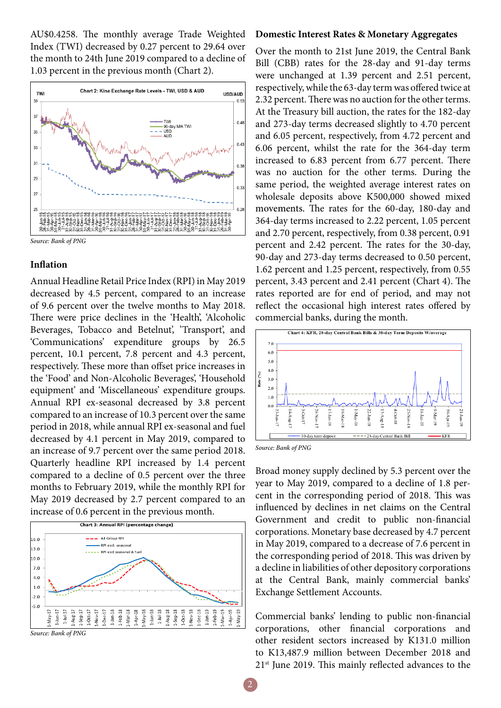AU\$0.4258. The monthly average Trade Weighted Index (TWI) decreased by 0.27 percent to 29.64 over the month to 24th June 2019 compared to a decline of 1.03 percent in the previous month (Chart 2).



#### **Inflation**

Annual Headline Retail Price Index (RPI) in May 2019 decreased by 4.5 percent, compared to an increase of 9.6 percent over the twelve months to May 2018. There were price declines in the 'Health', 'Alcoholic Beverages, Tobacco and Betelnut', 'Transport', and 'Communications' expenditure groups by 26.5 percent, 10.1 percent, 7.8 percent and 4.3 percent, respectively. These more than offset price increases in the 'Food' and Non-Alcoholic Beverages', 'Household equipment' and 'Miscellaneous' expenditure groups. Annual RPI ex-seasonal decreased by 3.8 percent compared to an increase of 10.3 percent over the same period in 2018, while annual RPI ex-seasonal and fuel decreased by 4.1 percent in May 2019, compared to an increase of 9.7 percent over the same period 2018. Quarterly headline RPI increased by 1.4 percent compared to a decline of 0.5 percent over the three months to February 2019, while the monthly RPI for May 2019 decreased by 2.7 percent compared to an increase of 0.6 percent in the previous month.



## **Domestic Interest Rates & Monetary Aggregates**

Over the month to 21st June 2019, the Central Bank Bill (CBB) rates for the 28-day and 91-day terms were unchanged at 1.39 percent and 2.51 percent, respectively, while the 63-day term was offered twice at 2.32 percent. There was no auction for the other terms. At the Treasury bill auction, the rates for the 182-day and 273-day terms decreased slightly to 4.70 percent and 6.05 percent, respectively, from 4.72 percent and 6.06 percent, whilst the rate for the 364-day term increased to 6.83 percent from 6.77 percent. There was no auction for the other terms. During the same period, the weighted average interest rates on wholesale deposits above K500,000 showed mixed movements. The rates for the 60-day, 180-day and 364-day terms increased to 2.22 percent, 1.05 percent and 2.70 percent, respectively, from 0.38 percent, 0.91 percent and 2.42 percent. The rates for the 30-day, 90-day and 273-day terms decreased to 0.50 percent, 1.62 percent and 1.25 percent, respectively, from 0.55 percent, 3.43 percent and 2.41 percent (Chart 4). The rates reported are for end of period, and may not reflect the occasional high interest rates offered by commercial banks, during the month.



*Source: Bank of PNG*

Broad money supply declined by 5.3 percent over the year to May 2019, compared to a decline of 1.8 percent in the corresponding period of 2018. This was influenced by declines in net claims on the Central Government and credit to public non-financial corporations. Monetary base decreased by 4.7 percent in May 2019, compared to a decrease of 7.6 percent in the corresponding period of 2018. This was driven by a decline in liabilities of other depository corporations at the Central Bank, mainly commercial banks' Exchange Settlement Accounts.

Commercial banks' lending to public non-financial corporations, other financial corporations and other resident sectors increased by K131.0 million to K13,487.9 million between December 2018 and  $21<sup>st</sup>$  June 2019. This mainly reflected advances to the